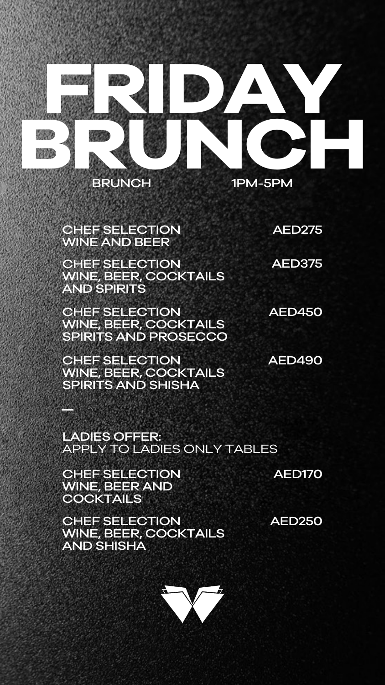

#### CHEF SELECTION WINE AND BEER

AED275

CHEF SELECTION WINE, BEER, COCKTAILS AND SPIRITS

**FRIDAY** 

AED375

CHEF SELECTION WINE, BEER AND **COCKTAILS** 

CHEF SELECTION WINE, BEER, COCKTAILS SPIRITS AND SHISHA

AED490

CHEF SELECTION WINE, BEER, COCKTAILS SPIRITS AND PROSECCO

AED450

LADIES OFFER: APPLY TO LADIES ONLY TABLES

AED170

CHEF SELECTION WINE, BEER, COCKTAILS AND SHISHA

AED250

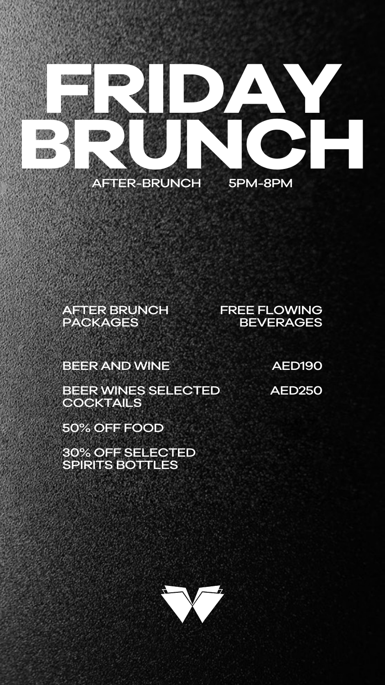AFTER-BRUNCH 5PM-8PM

AFTER BRUNCH PACKAGES

BEER WINES SELECTED **COCKTAILS** 

FREE FLOWING BEVERAGES

BEER AND WINE

50% OFF FOOD

#### 30% OFF SELECTED SPIRITS BOTTLES



**FRIDAY** 

**BRUNCH SPARED** 

AED190

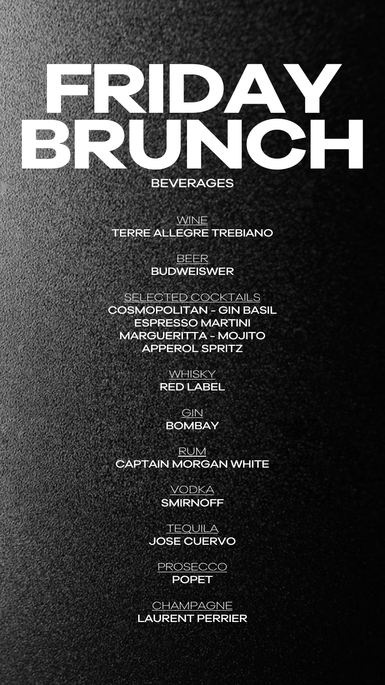# **FRIDAY BRUNCH**

#### BEVERAGES

#### WINE TERRE ALLEGRE TREBIANO

#### BEER BUDWEISWER

### SELECTED COCKTAILS

VODKA **SMIRNOFF** 

COSMOPOLITAN - GIN BASIL ESPRESSO MARTINI MARGUERITTA - MOJITO APPEROL SPRITZ

**WHISKY** 

**TEQUILA** JOSE CUERVO

> **PROSECCO** POPET

**CHAMPAGNE** LAURENT PERRIER



**GIN BOMBAY** 

RUM CAPTAIN MORGAN WHITE